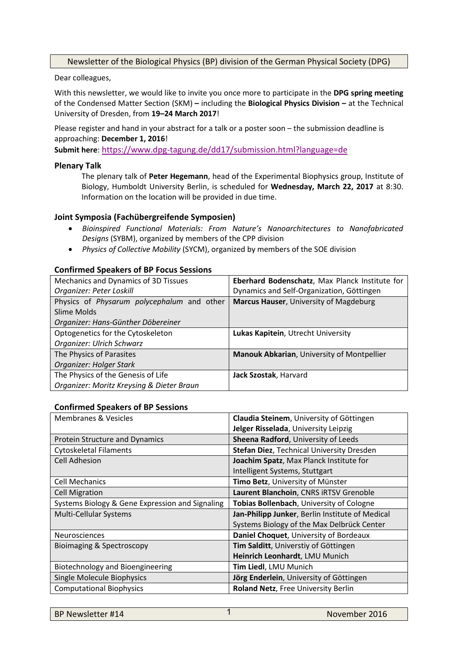# Newsletter of the Biological Physics (BP) division of the German Physical Society (DPG)

Dear colleagues,

With this newsletter, we would like to invite you once more to participate in the **DPG spring meeting**  of the Condensed Matter Section (SKM) **–** including the **Biological Physics Division –** at the Technical University of Dresden, from **19–24 March 2017**!

Please register and hand in your abstract for a talk or a poster soon – the submission deadline is approaching: **December 1, 2016**!

**Submit here**: <https://www.dpg-tagung.de/dd17/submission.html?language=de>

#### **Plenary Talk**

The plenary talk of **Peter Hegemann**, head of the Experimental Biophysics group, Institute of Biology, Humboldt University Berlin, is scheduled for **Wednesday, March 22, 2017** at 8:30. Information on the location will be provided in due time.

#### **Joint Symposia (Fachübergreifende Symposien)**

- *Bioinspired Functional Materials: From Nature's Nanoarchitectures to Nanofabricated Designs* (SYBM), organized by members of the CPP division
- *Physics of Collective Mobility* (SYCM), organized by members of the SOE division

#### **Confirmed Speakers of BP Focus Sessions**

| Mechanics and Dynamics of 3D Tissues       | Eberhard Bodenschatz, Max Planck Institute for |  |
|--------------------------------------------|------------------------------------------------|--|
| Organizer: Peter Loskill                   | Dynamics and Self-Organization, Göttingen      |  |
| Physics of Physarum polycephalum and other | Marcus Hauser, University of Magdeburg         |  |
| Slime Molds                                |                                                |  |
| Organizer: Hans-Günther Döbereiner         |                                                |  |
| Optogenetics for the Cytoskeleton          | Lukas Kapitein, Utrecht University             |  |
| Organizer: Ulrich Schwarz                  |                                                |  |
| The Physics of Parasites                   | Manouk Abkarian, University of Montpellier     |  |
| Organizer: Holger Stark                    |                                                |  |
| The Physics of the Genesis of Life         | Jack Szostak, Harvard                          |  |
| Organizer: Moritz Kreysing & Dieter Braun  |                                                |  |

#### **Confirmed Speakers of BP Sessions**

| <b>Membranes &amp; Vesicles</b>                 | Claudia Steinem, University of Göttingen         |  |  |
|-------------------------------------------------|--------------------------------------------------|--|--|
|                                                 | Jelger Risselada, University Leipzig             |  |  |
| Protein Structure and Dynamics                  | Sheena Radford, University of Leeds              |  |  |
| <b>Cytoskeletal Filaments</b>                   | <b>Stefan Diez, Technical University Dresden</b> |  |  |
| <b>Cell Adhesion</b>                            | Joachim Spatz, Max Planck Institute for          |  |  |
|                                                 | Intelligent Systems, Stuttgart                   |  |  |
| <b>Cell Mechanics</b>                           | Timo Betz, University of Münster                 |  |  |
| <b>Cell Migration</b>                           | Laurent Blanchoin, CNRS iRTSV Grenoble           |  |  |
| Systems Biology & Gene Expression and Signaling | Tobias Bollenbach, University of Cologne         |  |  |
| Multi-Cellular Systems                          | Jan-Philipp Junker, Berlin Institute of Medical  |  |  |
|                                                 | Systems Biology of the Max Delbrück Center       |  |  |
| <b>Neurosciences</b>                            | Daniel Choquet, University of Bordeaux           |  |  |
| <b>Bioimaging &amp; Spectroscopy</b>            | Tim Salditt, Universtiy of Göttingen             |  |  |
|                                                 | Heinrich Leonhardt, LMU Munich                   |  |  |
| Biotechnology and Bioengineering                | Tim Liedl, LMU Munich                            |  |  |
| <b>Single Molecule Biophysics</b>               | Jörg Enderlein, University of Göttingen          |  |  |
| <b>Computational Biophysics</b>                 | Roland Netz, Free University Berlin              |  |  |